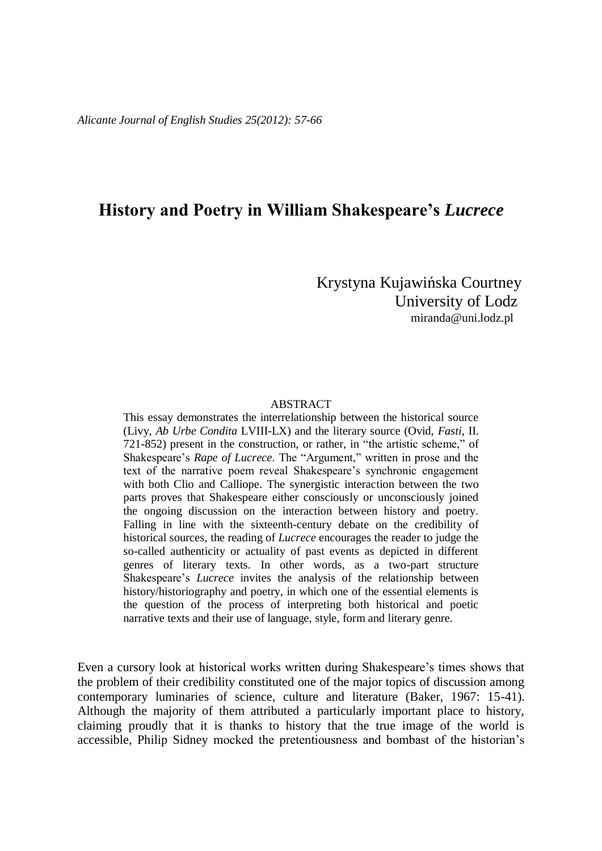## **History and Poetry in William Shakespeare's** *Lucrece*

 Krystyna Kujawińska Courtney University of Lodz [miranda@uni.lodz.pl](mailto:miranda@uni.lodz.pl)

## ABSTRACT

This essay demonstrates the interrelationship between the historical source (Livy, *Ab Urbe Condita* LVIII-LX) and the literary source (Ovid, *Fasti*, II. 721-852) present in the construction, or rather, in "the artistic scheme," of Shakespeare's *Rape of Lucrece*. The "Argument," written in prose and the text of the narrative poem reveal Shakespeare's synchronic engagement with both Clio and Calliope. The synergistic interaction between the two parts proves that Shakespeare either consciously or unconsciously joined the ongoing discussion on the interaction between history and poetry. Falling in line with the sixteenth-century debate on the credibility of historical sources, the reading of *Lucrece* encourages the reader to judge the so-called authenticity or actuality of past events as depicted in different genres of literary texts. In other words, as a two-part structure Shakespeare's *Lucrece* invites the analysis of the relationship between history/historiography and poetry, in which one of the essential elements is the question of the process of interpreting both historical and poetic narrative texts and their use of language, style, form and literary genre.

Even a cursory look at historical works written during Shakespeare's times shows that the problem of their credibility constituted one of the major topics of discussion among contemporary luminaries of science, culture and literature (Baker, 1967: 15-41). Although the majority of them attributed a particularly important place to history, claiming proudly that it is thanks to history that the true image of the world is accessible, Philip Sidney mocked the pretentiousness and bombast of the historian's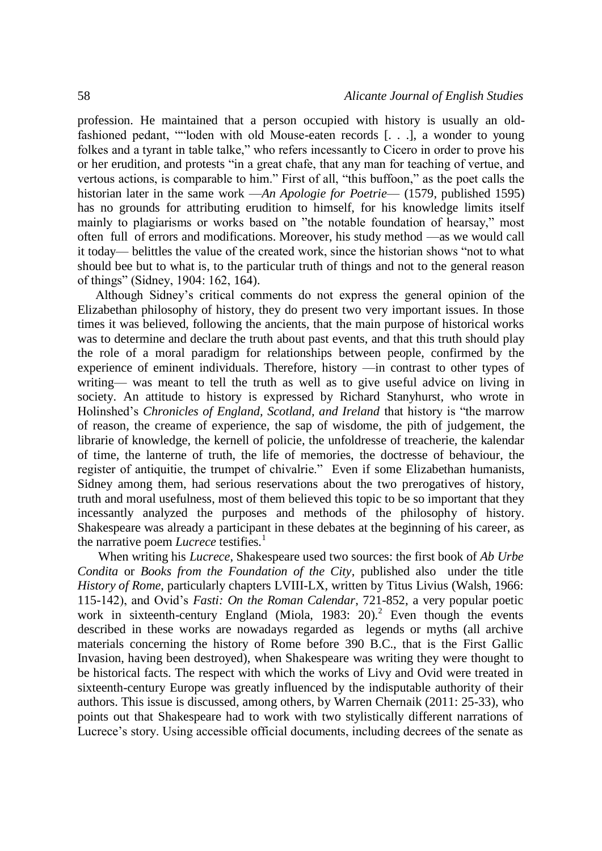profession. He maintained that a person occupied with history is usually an oldfashioned pedant, ""loden with old Mouse-eaten records [. . .], a wonder to young folkes and a tyrant in table talke," who refers incessantly to Cicero in order to prove his or her erudition, and protests "in a great chafe, that any man for teaching of vertue, and vertous actions, is comparable to him." First of all, "this buffoon," as the poet calls the historian later in the same work —*An Apologie for Poetrie*— (1579, published 1595) has no grounds for attributing erudition to himself, for his knowledge limits itself mainly to plagiarisms or works based on "the notable foundation of hearsay," most often full of errors and modifications. Moreover, his study method —as we would call it today— belittles the value of the created work, since the historian shows "not to what should bee but to what is, to the particular truth of things and not to the general reason of things" (Sidney, 1904: 162, 164).

Although Sidney's critical comments do not express the general opinion of the Elizabethan philosophy of history, they do present two very important issues. In those times it was believed, following the ancients, that the main purpose of historical works was to determine and declare the truth about past events, and that this truth should play the role of a moral paradigm for relationships between people, confirmed by the experience of eminent individuals. Therefore, history —in contrast to other types of writing— was meant to tell the truth as well as to give useful advice on living in society. An attitude to history is expressed by Richard Stanyhurst, who wrote in Holinshed's *Chronicles of England, Scotland, and Ireland* that history is "the marrow of reason, the creame of experience, the sap of wisdome, the pith of judgement, the librarie of knowledge, the kernell of policie, the unfoldresse of treacherie, the kalendar of time, the lanterne of truth, the life of memories, the doctresse of behaviour, the register of antiquitie, the trumpet of chivalrie." Even if some Elizabethan humanists, Sidney among them, had serious reservations about the two prerogatives of history, truth and moral usefulness, most of them believed this topic to be so important that they incessantly analyzed the purposes and methods of the philosophy of history. Shakespeare was already a participant in these debates at the beginning of his career, as the narrative poem *Lucrece* testifies*.* 1

When writing his *Lucrece*, Shakespeare used two sources: the first book of *Ab Urbe Condita* or *Books from the Foundation of the City*, published also under the title *History of Rome*, particularly chapters LVIII-LX, written by Titus Livius (Walsh, 1966: 115-142), and Ovid's *Fasti: On the Roman Calendar*, 721-852, a very popular poetic work in sixteenth-century England (Miola, 1983: 20).<sup>2</sup> Even though the events described in these works are nowadays regarded as legends or myths (all archive materials concerning the history of Rome before 390 B.C., that is the First Gallic Invasion, having been destroyed), when Shakespeare was writing they were thought to be historical facts. The respect with which the works of Livy and Ovid were treated in sixteenth-century Europe was greatly influenced by the indisputable authority of their authors. This issue is discussed, among others, by Warren Chernaik (2011: 25-33), who points out that Shakespeare had to work with two stylistically different narrations of Lucrece's story. Using accessible official documents, including decrees of the senate as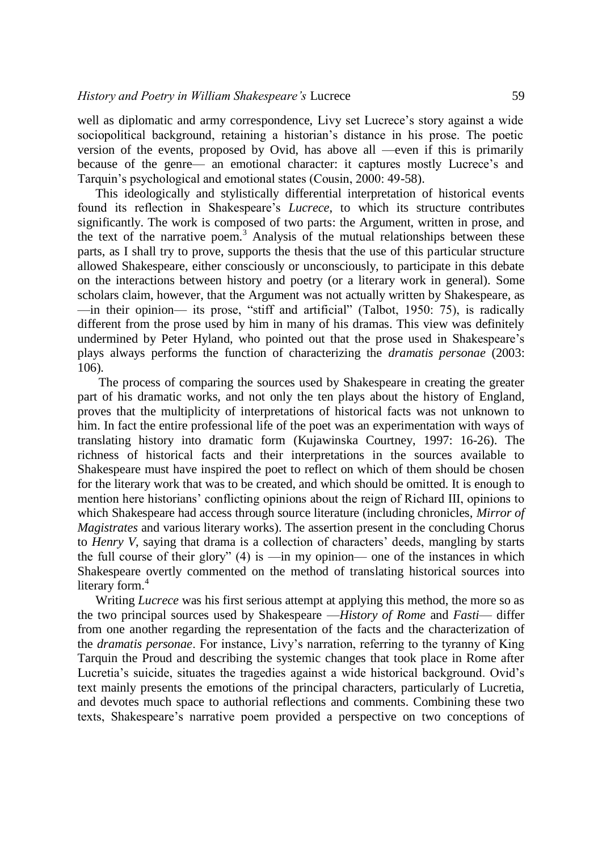well as diplomatic and army correspondence, Livy set Lucrece's story against a wide sociopolitical background, retaining a historian's distance in his prose. The poetic version of the events, proposed by Ovid, has above all —even if this is primarily because of the genre— an emotional character: it captures mostly Lucrece's and Tarquin's psychological and emotional states (Cousin, 2000: 49-58).

This ideologically and stylistically differential interpretation of historical events found its reflection in Shakespeare's *Lucrece*, to which its structure contributes significantly. The work is composed of two parts: the Argument, written in prose, and the text of the narrative poem.<sup>3</sup> Analysis of the mutual relationships between these parts, as I shall try to prove, supports the thesis that the use of this particular structure allowed Shakespeare, either consciously or unconsciously, to participate in this debate on the interactions between history and poetry (or a literary work in general). Some scholars claim, however, that the Argument was not actually written by Shakespeare, as —in their opinion— its prose, "stiff and artificial" (Talbot, 1950: 75), is radically different from the prose used by him in many of his dramas. This view was definitely undermined by Peter Hyland, who pointed out that the prose used in Shakespeare's plays always performs the function of characterizing the *dramatis personae* (2003: 106).

The process of comparing the sources used by Shakespeare in creating the greater part of his dramatic works, and not only the ten plays about the history of England, proves that the multiplicity of interpretations of historical facts was not unknown to him. In fact the entire professional life of the poet was an experimentation with ways of translating history into dramatic form (Kujawinska Courtney, 1997: 16-26). The richness of historical facts and their interpretations in the sources available to Shakespeare must have inspired the poet to reflect on which of them should be chosen for the literary work that was to be created, and which should be omitted. It is enough to mention here historians' conflicting opinions about the reign of Richard III, opinions to which Shakespeare had access through source literature (including chronicles, *Mirror of Magistrates* and various literary works). The assertion present in the concluding Chorus to *Henry V*, saying that drama is a collection of characters' deeds, mangling by starts the full course of their glory"  $(4)$  is —in my opinion— one of the instances in which Shakespeare overtly commented on the method of translating historical sources into literary form.<sup>4</sup>

Writing *Lucrece* was his first serious attempt at applying this method, the more so as the two principal sources used by Shakespeare —*History of Rome* and *Fasti*— differ from one another regarding the representation of the facts and the characterization of the *dramatis personae*. For instance, Livy's narration, referring to the tyranny of King Tarquin the Proud and describing the systemic changes that took place in Rome after Lucretia's suicide, situates the tragedies against a wide historical background. Ovid's text mainly presents the emotions of the principal characters, particularly of Lucretia, and devotes much space to authorial reflections and comments. Combining these two texts, Shakespeare's narrative poem provided a perspective on two conceptions of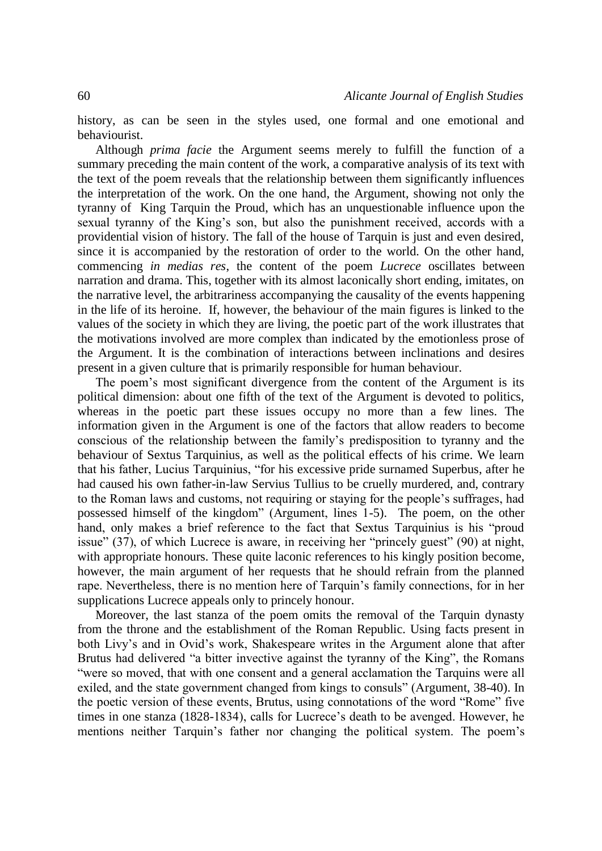history, as can be seen in the styles used, one formal and one emotional and behaviourist.

Although *prima facie* the Argument seems merely to fulfill the function of a summary preceding the main content of the work, a comparative analysis of its text with the text of the poem reveals that the relationship between them significantly influences the interpretation of the work. On the one hand, the Argument, showing not only the tyranny of King Tarquin the Proud, which has an unquestionable influence upon the sexual tyranny of the King's son, but also the punishment received, accords with a providential vision of history. The fall of the house of Tarquin is just and even desired, since it is accompanied by the restoration of order to the world. On the other hand, commencing *in medias res*, the content of the poem *Lucrece* oscillates between narration and drama. This, together with its almost laconically short ending, imitates, on the narrative level, the arbitrariness accompanying the causality of the events happening in the life of its heroine. If, however, the behaviour of the main figures is linked to the values of the society in which they are living, the poetic part of the work illustrates that the motivations involved are more complex than indicated by the emotionless prose of the Argument. It is the combination of interactions between inclinations and desires present in a given culture that is primarily responsible for human behaviour.

The poem's most significant divergence from the content of the Argument is its political dimension: about one fifth of the text of the Argument is devoted to politics, whereas in the poetic part these issues occupy no more than a few lines. The information given in the Argument is one of the factors that allow readers to become conscious of the relationship between the family's predisposition to tyranny and the behaviour of Sextus Tarquinius, as well as the political effects of his crime. We learn that his father, Lucius Tarquinius, "for his excessive pride surnamed Superbus, after he had caused his own father-in-law Servius Tullius to be cruelly murdered, and, contrary to the Roman laws and customs, not requiring or staying for the people's suffrages, had possessed himself of the kingdom" (Argument, lines 1-5). The poem, on the other hand, only makes a brief reference to the fact that Sextus Tarquinius is his "proud issue" (37), of which Lucrece is aware, in receiving her "princely guest" (90) at night, with appropriate honours. These quite laconic references to his kingly position become, however, the main argument of her requests that he should refrain from the planned rape. Nevertheless, there is no mention here of Tarquin's family connections, for in her supplications Lucrece appeals only to princely honour.

Moreover, the last stanza of the poem omits the removal of the Tarquin dynasty from the throne and the establishment of the Roman Republic. Using facts present in both Livy's and in Ovid's work, Shakespeare writes in the Argument alone that after Brutus had delivered "a bitter invective against the tyranny of the King", the Romans "were so moved, that with one consent and a general acclamation the Tarquins were all exiled, and the state government changed from kings to consuls" (Argument, 38-40). In the poetic version of these events, Brutus, using connotations of the word "Rome" five times in one stanza (1828-1834), calls for Lucrece's death to be avenged. However, he mentions neither Tarquin's father nor changing the political system. The poem's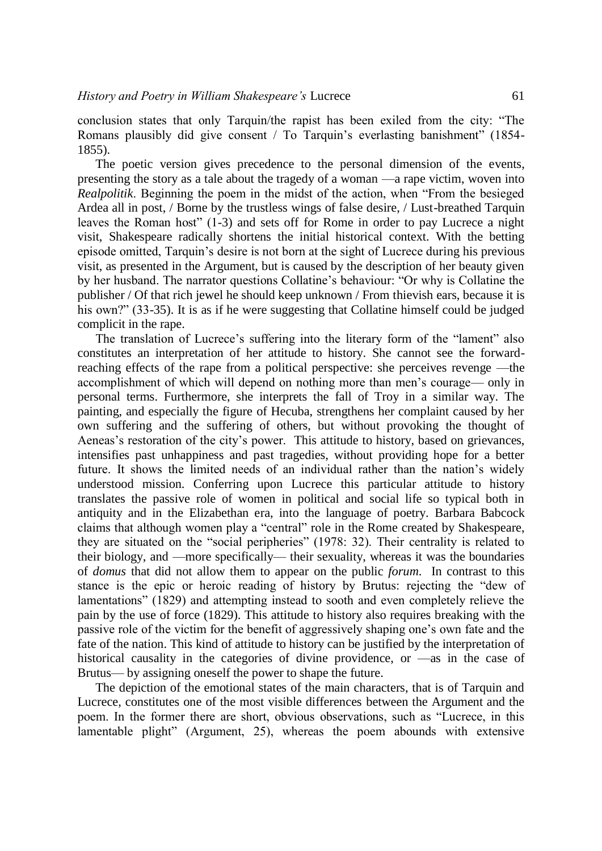conclusion states that only Tarquin/the rapist has been exiled from the city: "The Romans plausibly did give consent / To Tarquin's everlasting banishment" (1854- 1855).

The poetic version gives precedence to the personal dimension of the events, presenting the story as a tale about the tragedy of a woman —a rape victim, woven into *Realpolitik*. Beginning the poem in the midst of the action, when "From the besieged Ardea all in post, / Borne by the trustless wings of false desire, / Lust-breathed Tarquin leaves the Roman host" (1-3) and sets off for Rome in order to pay Lucrece a night visit, Shakespeare radically shortens the initial historical context. With the betting episode omitted, Tarquin's desire is not born at the sight of Lucrece during his previous visit, as presented in the Argument, but is caused by the description of her beauty given by her husband. The narrator questions Collatine's behaviour: "Or why is Collatine the publisher / Of that rich jewel he should keep unknown / From thievish ears, because it is his own?" (33-35). It is as if he were suggesting that Collatine himself could be judged complicit in the rape.

The translation of Lucrece's suffering into the literary form of the "lament" also constitutes an interpretation of her attitude to history. She cannot see the forwardreaching effects of the rape from a political perspective: she perceives revenge —the accomplishment of which will depend on nothing more than men's courage— only in personal terms. Furthermore, she interprets the fall of Troy in a similar way. The painting, and especially the figure of Hecuba, strengthens her complaint caused by her own suffering and the suffering of others, but without provoking the thought of Aeneas's restoration of the city's power. This attitude to history, based on grievances, intensifies past unhappiness and past tragedies, without providing hope for a better future. It shows the limited needs of an individual rather than the nation's widely understood mission. Conferring upon Lucrece this particular attitude to history translates the passive role of women in political and social life so typical both in antiquity and in the Elizabethan era, into the language of poetry. Barbara Babcock claims that although women play a "central" role in the Rome created by Shakespeare, they are situated on the "social peripheries" (1978: 32). Their centrality is related to their biology, and —more specifically— their sexuality, whereas it was the boundaries of *domus* that did not allow them to appear on the public *forum*. In contrast to this stance is the epic or heroic reading of history by Brutus: rejecting the "dew of lamentations" (1829) and attempting instead to sooth and even completely relieve the pain by the use of force (1829). This attitude to history also requires breaking with the passive role of the victim for the benefit of aggressively shaping one's own fate and the fate of the nation. This kind of attitude to history can be justified by the interpretation of historical causality in the categories of divine providence, or —as in the case of Brutus— by assigning oneself the power to shape the future.

The depiction of the emotional states of the main characters, that is of Tarquin and Lucrece, constitutes one of the most visible differences between the Argument and the poem. In the former there are short, obvious observations, such as "Lucrece, in this lamentable plight" (Argument, 25), whereas the poem abounds with extensive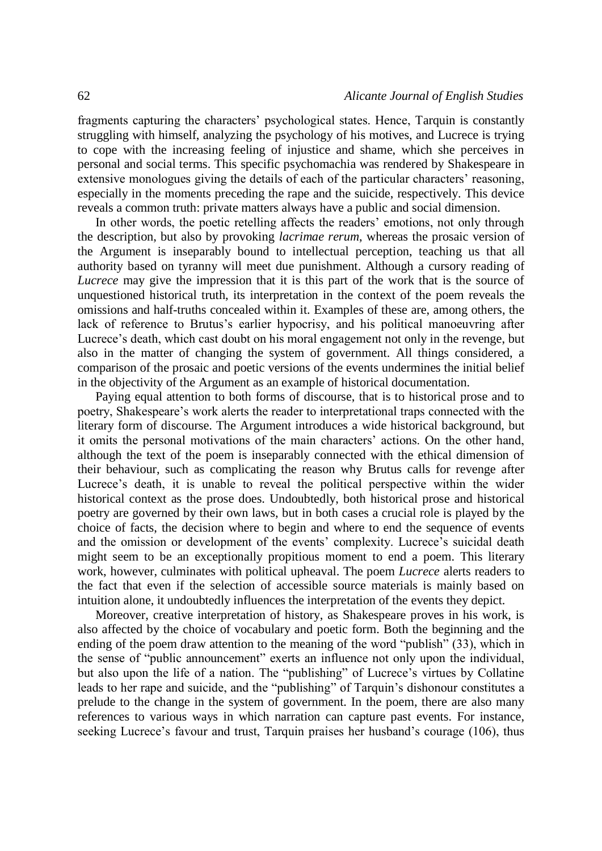fragments capturing the characters' psychological states. Hence, Tarquin is constantly struggling with himself, analyzing the psychology of his motives, and Lucrece is trying to cope with the increasing feeling of injustice and shame, which she perceives in personal and social terms. This specific psychomachia was rendered by Shakespeare in extensive monologues giving the details of each of the particular characters' reasoning, especially in the moments preceding the rape and the suicide, respectively. This device reveals a common truth: private matters always have a public and social dimension.

In other words, the poetic retelling affects the readers' emotions, not only through the description, but also by provoking *lacrimae rerum*, whereas the prosaic version of the Argument is inseparably bound to intellectual perception, teaching us that all authority based on tyranny will meet due punishment. Although a cursory reading of *Lucrece* may give the impression that it is this part of the work that is the source of unquestioned historical truth, its interpretation in the context of the poem reveals the omissions and half-truths concealed within it. Examples of these are, among others, the lack of reference to Brutus's earlier hypocrisy, and his political manoeuvring after Lucrece's death, which cast doubt on his moral engagement not only in the revenge, but also in the matter of changing the system of government. All things considered, a comparison of the prosaic and poetic versions of the events undermines the initial belief in the objectivity of the Argument as an example of historical documentation.

Paying equal attention to both forms of discourse, that is to historical prose and to poetry, Shakespeare's work alerts the reader to interpretational traps connected with the literary form of discourse. The Argument introduces a wide historical background, but it omits the personal motivations of the main characters' actions. On the other hand, although the text of the poem is inseparably connected with the ethical dimension of their behaviour, such as complicating the reason why Brutus calls for revenge after Lucrece's death, it is unable to reveal the political perspective within the wider historical context as the prose does. Undoubtedly, both historical prose and historical poetry are governed by their own laws, but in both cases a crucial role is played by the choice of facts, the decision where to begin and where to end the sequence of events and the omission or development of the events' complexity. Lucrece's suicidal death might seem to be an exceptionally propitious moment to end a poem. This literary work, however, culminates with political upheaval. The poem *Lucrece* alerts readers to the fact that even if the selection of accessible source materials is mainly based on intuition alone, it undoubtedly influences the interpretation of the events they depict.

Moreover, creative interpretation of history, as Shakespeare proves in his work, is also affected by the choice of vocabulary and poetic form. Both the beginning and the ending of the poem draw attention to the meaning of the word "publish" (33), which in the sense of "public announcement" exerts an influence not only upon the individual, but also upon the life of a nation. The "publishing" of Lucrece's virtues by Collatine leads to her rape and suicide, and the "publishing" of Tarquin's dishonour constitutes a prelude to the change in the system of government. In the poem, there are also many references to various ways in which narration can capture past events. For instance, seeking Lucrece's favour and trust, Tarquin praises her husband's courage (106), thus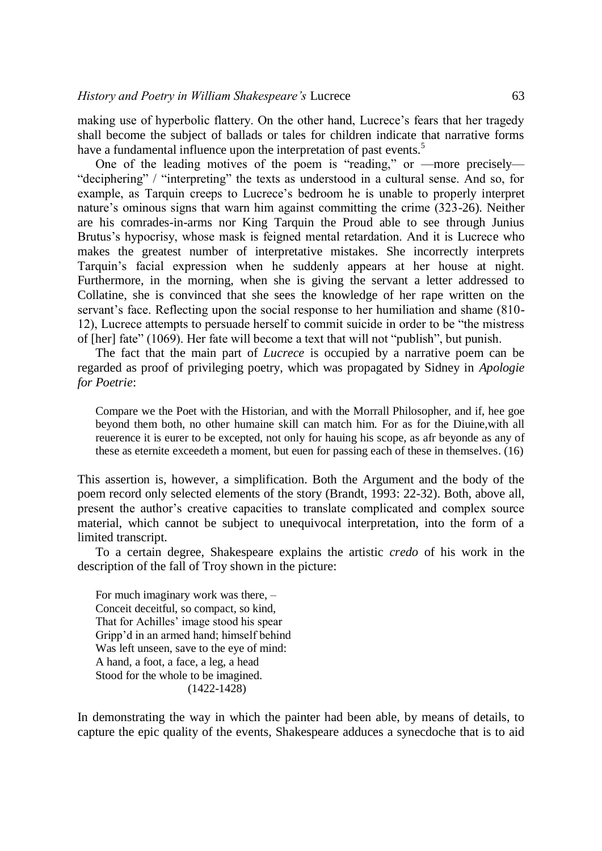making use of hyperbolic flattery. On the other hand, Lucrece's fears that her tragedy shall become the subject of ballads or tales for children indicate that narrative forms have a fundamental influence upon the interpretation of past events.<sup>5</sup>

One of the leading motives of the poem is "reading," or —more precisely— "deciphering" / "interpreting" the texts as understood in a cultural sense. And so, for example, as Tarquin creeps to Lucrece's bedroom he is unable to properly interpret nature's ominous signs that warn him against committing the crime (323-26). Neither are his comrades-in-arms nor King Tarquin the Proud able to see through Junius Brutus's hypocrisy, whose mask is feigned mental retardation. And it is Lucrece who makes the greatest number of interpretative mistakes. She incorrectly interprets Tarquin's facial expression when he suddenly appears at her house at night. Furthermore, in the morning, when she is giving the servant a letter addressed to Collatine, she is convinced that she sees the knowledge of her rape written on the servant's face. Reflecting upon the social response to her humiliation and shame (810- 12), Lucrece attempts to persuade herself to commit suicide in order to be "the mistress of [her] fate" (1069). Her fate will become a text that will not "publish", but punish.

The fact that the main part of *Lucrece* is occupied by a narrative poem can be regarded as proof of privileging poetry, which was propagated by Sidney in *Apologie for Poetrie*:

Compare we the Poet with the Historian, and with the Morrall Philosopher, and if, hee goe beyond them both, no other humaine skill can match him. For as for the Diuine,with all reuerence it is eurer to be excepted, not only for hauing his scope, as afr beyonde as any of these as eternite exceedeth a moment, but euen for passing each of these in themselves. (16)

This assertion is, however, a simplification. Both the Argument and the body of the poem record only selected elements of the story (Brandt, 1993: 22-32). Both, above all, present the author's creative capacities to translate complicated and complex source material, which cannot be subject to unequivocal interpretation, into the form of a limited transcript.

To a certain degree, Shakespeare explains the artistic *credo* of his work in the description of the fall of Troy shown in the picture:

For much imaginary work was there, – Conceit deceitful, so compact, so kind, That for Achilles' image stood his spear Gripp'd in an armed hand; himself behind Was left unseen, save to the eye of mind: A hand, a foot, a face, a leg, a head Stood for the whole to be imagined. (1422-1428)

In demonstrating the way in which the painter had been able, by means of details, to capture the epic quality of the events, Shakespeare adduces a synecdoche that is to aid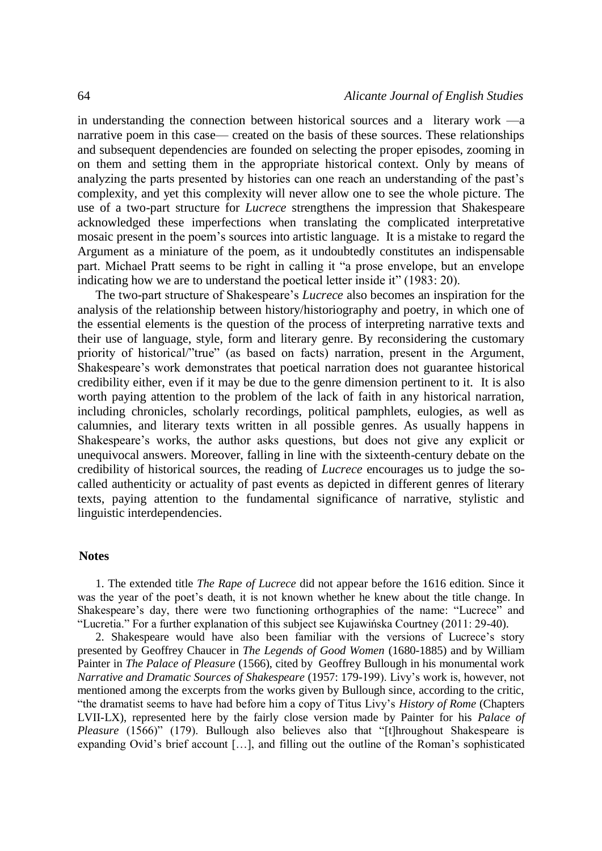in understanding the connection between historical sources and a literary work —a narrative poem in this case— created on the basis of these sources. These relationships and subsequent dependencies are founded on selecting the proper episodes, zooming in on them and setting them in the appropriate historical context. Only by means of analyzing the parts presented by histories can one reach an understanding of the past's complexity, and yet this complexity will never allow one to see the whole picture. The use of a two-part structure for *Lucrece* strengthens the impression that Shakespeare acknowledged these imperfections when translating the complicated interpretative mosaic present in the poem's sources into artistic language. It is a mistake to regard the Argument as a miniature of the poem, as it undoubtedly constitutes an indispensable part. Michael Pratt seems to be right in calling it "a prose envelope, but an envelope indicating how we are to understand the poetical letter inside it" (1983: 20).

The two-part structure of Shakespeare's *Lucrece* also becomes an inspiration for the analysis of the relationship between history/historiography and poetry, in which one of the essential elements is the question of the process of interpreting narrative texts and their use of language, style, form and literary genre. By reconsidering the customary priority of historical/"true" (as based on facts) narration, present in the Argument, Shakespeare's work demonstrates that poetical narration does not guarantee historical credibility either, even if it may be due to the genre dimension pertinent to it. It is also worth paying attention to the problem of the lack of faith in any historical narration, including chronicles, scholarly recordings, political pamphlets, eulogies, as well as calumnies, and literary texts written in all possible genres. As usually happens in Shakespeare's works, the author asks questions, but does not give any explicit or unequivocal answers. Moreover, falling in line with the sixteenth-century debate on the credibility of historical sources, the reading of *Lucrece* encourages us to judge the socalled authenticity or actuality of past events as depicted in different genres of literary texts, paying attention to the fundamental significance of narrative, stylistic and linguistic interdependencies.

## **Notes**

1. The extended title *The Rape of Lucrece* did not appear before the 1616 edition. Since it was the year of the poet's death, it is not known whether he knew about the title change. In Shakespeare's day, there were two functioning orthographies of the name: "Lucrece" and "Lucretia." For a further explanation of this subject see Kujawińska Courtney (2011: 29-40).

2. Shakespeare would have also been familiar with the versions of Lucrece's story presented by Geoffrey Chaucer in *The Legends of Good Women* (1680-1885) and by William Painter in *The Palace of Pleasure* (1566), cited by Geoffrey Bullough in his monumental work *Narrative and Dramatic Sources of Shakespeare* (1957: 179-199). Livy's work is, however, not mentioned among the excerpts from the works given by Bullough since, according to the critic, "the dramatist seems to have had before him a copy of Titus Livy's *History of Rome* (Chapters LVII-LX), represented here by the fairly close version made by Painter for his *Palace of Pleasure* (1566)" (179). Bullough also believes also that "[t]hroughout Shakespeare is expanding Ovid's brief account […], and filling out the outline of the Roman's sophisticated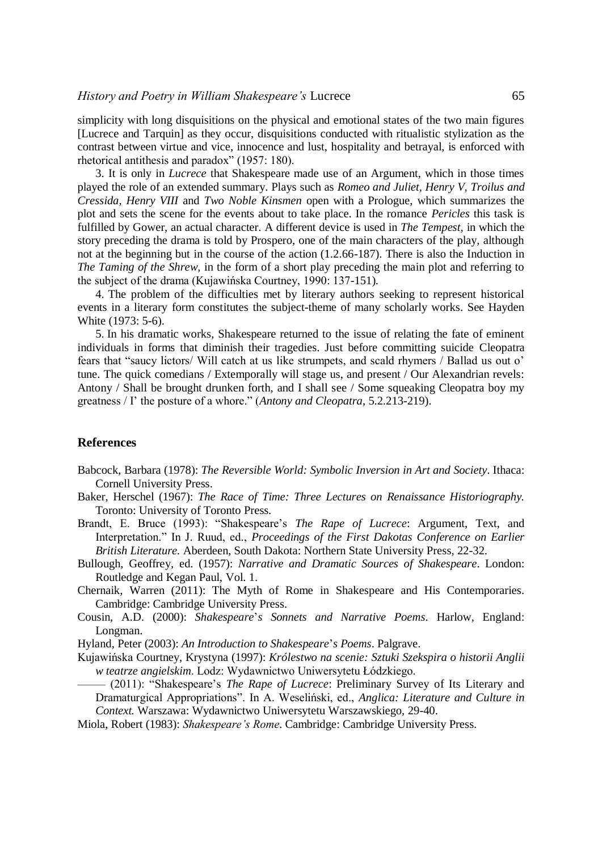simplicity with long disquisitions on the physical and emotional states of the two main figures [Lucrece and Tarquin] as they occur, disquisitions conducted with ritualistic stylization as the contrast between virtue and vice, innocence and lust, hospitality and betrayal, is enforced with rhetorical antithesis and paradox" (1957: 180).

3. It is only in *Lucrece* that Shakespeare made use of an Argument, which in those times played the role of an extended summary. Plays such as *Romeo and Juliet, Henry V, Troilus and Cressida, Henry VIII* and *Two Noble Kinsmen* open with a Prologue, which summarizes the plot and sets the scene for the events about to take place. In the romance *Pericles* this task is fulfilled by Gower, an actual character. A different device is used in *The Tempest*, in which the story preceding the drama is told by Prospero, one of the main characters of the play, although not at the beginning but in the course of the action (1.2.66-187). There is also the Induction in *The Taming of the Shrew,* in the form of a short play preceding the main plot and referring to the subject of the drama (Kujawińska Courtney, 1990: 137-151).

4. The problem of the difficulties met by literary authors seeking to represent historical events in a literary form constitutes the subject-theme of many scholarly works. See Hayden White (1973: 5-6).

5. In his dramatic works, Shakespeare returned to the issue of relating the fate of eminent individuals in forms that diminish their tragedies. Just before committing suicide Cleopatra fears that "saucy lictors/ Will catch at us like strumpets, and scald rhymers / Ballad us out o' tune. The quick comedians / Extemporally will stage us, and present / Our Alexandrian revels: Antony / Shall be brought drunken forth, and I shall see / Some squeaking Cleopatra boy my greatness / I' the posture of a whore." (*Antony and Cleopatra*, 5.2.213-219).

## **References**

- Babcock, Barbara (1978): *The Reversible World: Symbolic Inversion in Art and Society*. Ithaca: Cornell University Press.
- Baker, Herschel (1967): *The Race of Time: Three Lectures on Renaissance Historiography.*  Toronto: University of Toronto Press.
- Brandt, E. Bruce (1993): "Shakespeare's *The Rape of Lucrece*: Argument, Text, and Interpretation." In J. Ruud, ed., *Proceedings of the First Dakotas Conference on Earlier British Literature.* Aberdeen, South Dakota: Northern State University Press, 22-32.
- Bullough, Geoffrey, ed. (1957): *Narrative and Dramatic Sources of Shakespeare*. London: Routledge and Kegan Paul, Vol. 1.
- Chernaik, Warren (2011): The Myth of Rome in Shakespeare and His Contemporaries. Cambridge: Cambridge University Press.
- Cousin, A.D. (2000): *Shakespeare*'*s Sonnets and Narrative Poems*. Harlow, England: Longman.
- Hyland, Peter (2003): *An Introduction to Shakespeare*'*s Poems*. Palgrave.
- Kujawińska Courtney, Krystyna (1997): *Królestwo na scenie: Sztuki Szekspira o historii Anglii w teatrze angielskim*. Lodz: Wydawnictwo Uniwersytetu Łódzkiego.
- ––––– (2011): "Shakespeare's *The Rape of Lucrece*: Preliminary Survey of Its Literary and Dramaturgical Appropriations". In A. Weseliński, ed., *Anglica: Literature and Culture in Context.* Warszawa: Wydawnictwo Uniwersytetu Warszawskiego, 29-40.
- Miola, Robert (1983): *Shakespeare's Rome*. Cambridge: Cambridge University Press.